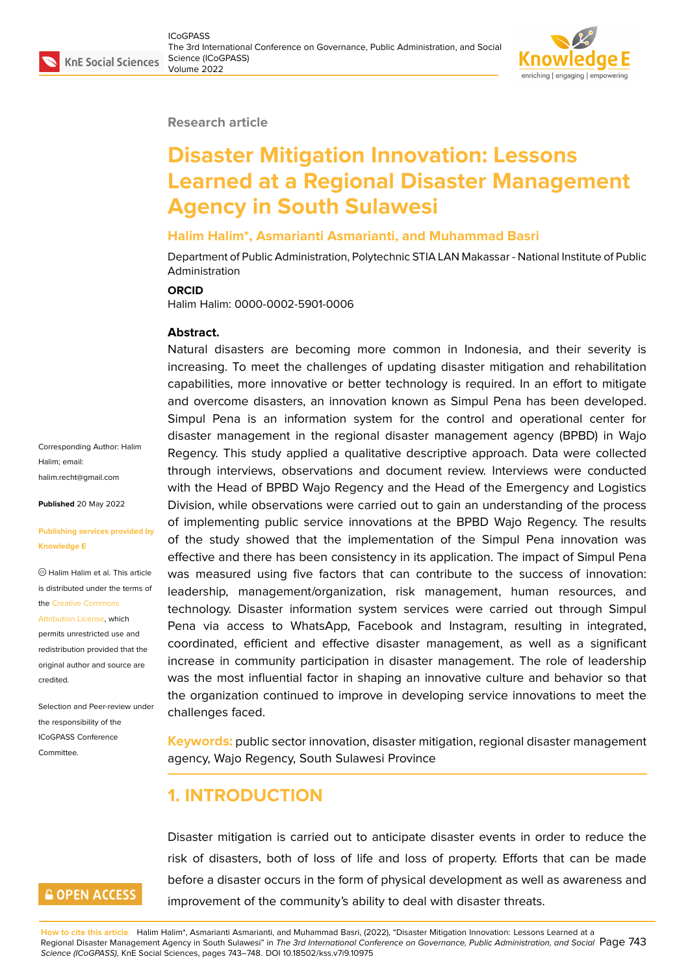#### **Research article**

# **Disaster Mitigation Innovation: Lessons Learned at a Regional Disaster Management Agency in South Sulawesi**

#### **Halim Halim\*, Asmarianti Asmarianti, and Muhammad Basri**

Department of Public Administration, Polytechnic STIA LAN Makassar - National Institute of Public Administration

#### **ORCID**

Halim Halim: 0000-0002-5901-0006

#### **Abstract.**

Natural disasters are becoming more common in Indonesia, and their severity is increasing. To meet the challenges of updating disaster mitigation and rehabilitation capabilities, more innovative or better technology is required. In an effort to mitigate and overcome disasters, an innovation known as Simpul Pena has been developed. Simpul Pena is an information system for the control and operational center for disaster management in the regional disaster management agency (BPBD) in Wajo Regency. This study applied a qualitative descriptive approach. Data were collected through interviews, observations and document review. Interviews were conducted with the Head of BPBD Wajo Regency and the Head of the Emergency and Logistics Division, while observations were carried out to gain an understanding of the process of implementing public service innovations at the BPBD Wajo Regency. The results of the study showed that the implementation of the Simpul Pena innovation was effective and there has been consistency in its application. The impact of Simpul Pena was measured using five factors that can contribute to the success of innovation: leadership, management/organization, risk management, human resources, and technology. Disaster information system services were carried out through Simpul Pena via access to WhatsApp, Facebook and Instagram, resulting in integrated, coordinated, efficient and effective disaster management, as well as a significant increase in community participation in disaster management. The role of leadership was the most influential factor in shaping an innovative culture and behavior so that the organization continued to improve in developing service innovations to meet the challenges faced.

**Keywords:** public sector innovation, disaster mitigation, regional disaster management agency, Wajo Regency, South Sulawesi Province

### **1. INTRODUCTION**

Disaster mitigation is carried out to anticipate disaster events in order to reduce the risk of disasters, both of loss of life and loss of property. Efforts that can be made before a disaster occurs in the form of physical development as well as awareness and improvement of the community's ability to deal with disaster threats.

**How to cite this article**: Halim Halim\*, Asmarianti Asmarianti, and Muhammad Basri, (2022), "Disaster Mitigation Innovation: Lessons Learned at a Regional Disaster Management Agency in South Sulawesi" in *The 3rd International Conference on Governance, Public Administration, and Social* Page 743 *Science (ICoGPASS)*, KnE Social Sciences, pages 743–748. DOI 10.18502/kss.v7i9.10975

Corresponding Author: Halim Halim; email: halim.recht@gmail.com

**Published** 20 May 2022

**[Publishing services pro](mailto:halim.recht@gmail.com)vided by Knowledge E**

Halim Halim et al. This article is distributed under the terms of the Creative Commons

Attribution License, which

permits unrestricted use and redistribution provided that the orig[inal author and sou](https://creativecommons.org/licenses/by/4.0/)rce are [credited.](https://creativecommons.org/licenses/by/4.0/)

Selection and Peer-review under the responsibility of the ICoGPASS Conference **Committee** 

### **GOPEN ACCESS**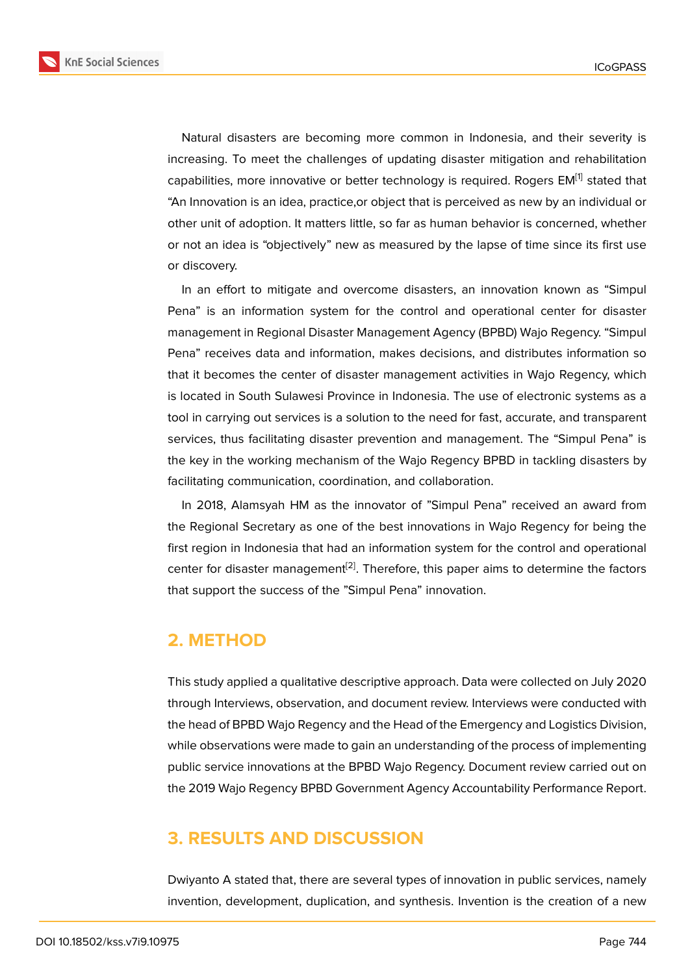Natural disasters are becoming more common in Indonesia, and their severity is increasing. To meet the challenges of updating disaster mitigation and rehabilitation capabilities, more innovative or better technology is required. Rogers EM<sup>[1]</sup> stated that "An Innovation is an idea, practice,or object that is perceived as new by an individual or other unit of adoption. It matters little, so far as human behavior is concerned, whether or not an idea is "objectively" new as measured by the lapse of time sinc[e](#page-5-0) its first use or discovery.

In an effort to mitigate and overcome disasters, an innovation known as "Simpul Pena" is an information system for the control and operational center for disaster management in Regional Disaster Management Agency (BPBD) Wajo Regency. "Simpul Pena" receives data and information, makes decisions, and distributes information so that it becomes the center of disaster management activities in Wajo Regency, which is located in South Sulawesi Province in Indonesia. The use of electronic systems as a tool in carrying out services is a solution to the need for fast, accurate, and transparent services, thus facilitating disaster prevention and management. The "Simpul Pena" is the key in the working mechanism of the Wajo Regency BPBD in tackling disasters by facilitating communication, coordination, and collaboration.

In 2018, Alamsyah HM as the innovator of "Simpul Pena" received an award from the Regional Secretary as one of the best innovations in Wajo Regency for being the first region in Indonesia that had an information system for the control and operational center for disaster management<sup>[2]</sup>. Therefore, this paper aims to determine the factors that support the success of the "Simpul Pena" innovation.

#### **2. METHOD**

This study applied a qualitative descriptive approach. Data were collected on July 2020 through Interviews, observation, and document review. Interviews were conducted with the head of BPBD Wajo Regency and the Head of the Emergency and Logistics Division, while observations were made to gain an understanding of the process of implementing public service innovations at the BPBD Wajo Regency. Document review carried out on the 2019 Wajo Regency BPBD Government Agency Accountability Performance Report.

## **3. RESULTS AND DISCUSSION**

Dwiyanto A stated that, there are several types of innovation in public services, namely invention, development, duplication, and synthesis. Invention is the creation of a new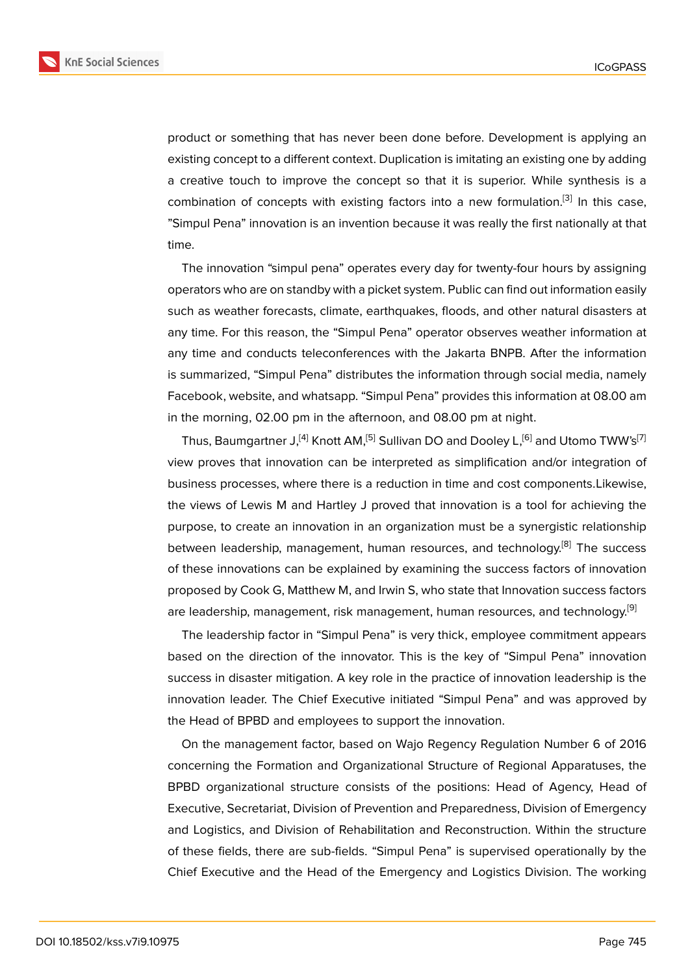product or something that has never been done before. Development is applying an existing concept to a different context. Duplication is imitating an existing one by adding a creative touch to improve the concept so that it is superior. While synthesis is a combination of concepts with existing factors into a new formulation.<sup>[3]</sup> In this case, "Simpul Pena" innovation is an invention because it was really the first nationally at that time.

The innovation "simpul pena" operates every day for twenty-four hours by assigning operators who are on standby with a picket system. Public can find out information easily such as weather forecasts, climate, earthquakes, floods, and other natural disasters at any time. For this reason, the "Simpul Pena" operator observes weather information at any time and conducts teleconferences with the Jakarta BNPB. After the information is summarized, "Simpul Pena" distributes the information through social media, namely Facebook, website, and whatsapp. "Simpul Pena" provides this information at 08.00 am in the morning, 02.00 pm in the afternoon, and 08.00 pm at night.

Thus, Baumgartner J,<sup>[4]</sup> Knott AM,<sup>[5]</sup> Sullivan DO and Dooley L,<sup>[6]</sup> and Utomo TWW's<sup>[7]</sup> view proves that innovation can be interpreted as simplification and/or integration of business processes, where there is a reduction in time and cost components.Likewise, the views of Lewis M a[nd](#page-5-1) Hartley J [p](#page-5-2)roved that innovation is a [t](#page-5-3)ool for achieving t[he](#page-5-4) purpose, to create an innovation in an organization must be a synergistic relationship between leadership, management, human resources, and technology.<sup>[8]</sup> The success of these innovations can be explained by examining the success factors of innovation proposed by Cook G, Matthew M, and Irwin S, who state that Innovation success factors are leadership, management, risk management, human resources, and [te](#page-5-5)chnology.<sup>[9]</sup>

The leadership factor in "Simpul Pena" is very thick, employee commitment appears based on the direction of the innovator. This is the key of "Simpul Pena" innova[tio](#page-5-6)n success in disaster mitigation. A key role in the practice of innovation leadership is the innovation leader. The Chief Executive initiated "Simpul Pena" and was approved by the Head of BPBD and employees to support the innovation.

On the management factor, based on Wajo Regency Regulation Number 6 of 2016 concerning the Formation and Organizational Structure of Regional Apparatuses, the BPBD organizational structure consists of the positions: Head of Agency, Head of Executive, Secretariat, Division of Prevention and Preparedness, Division of Emergency and Logistics, and Division of Rehabilitation and Reconstruction. Within the structure of these fields, there are sub-fields. "Simpul Pena" is supervised operationally by the Chief Executive and the Head of the Emergency and Logistics Division. The working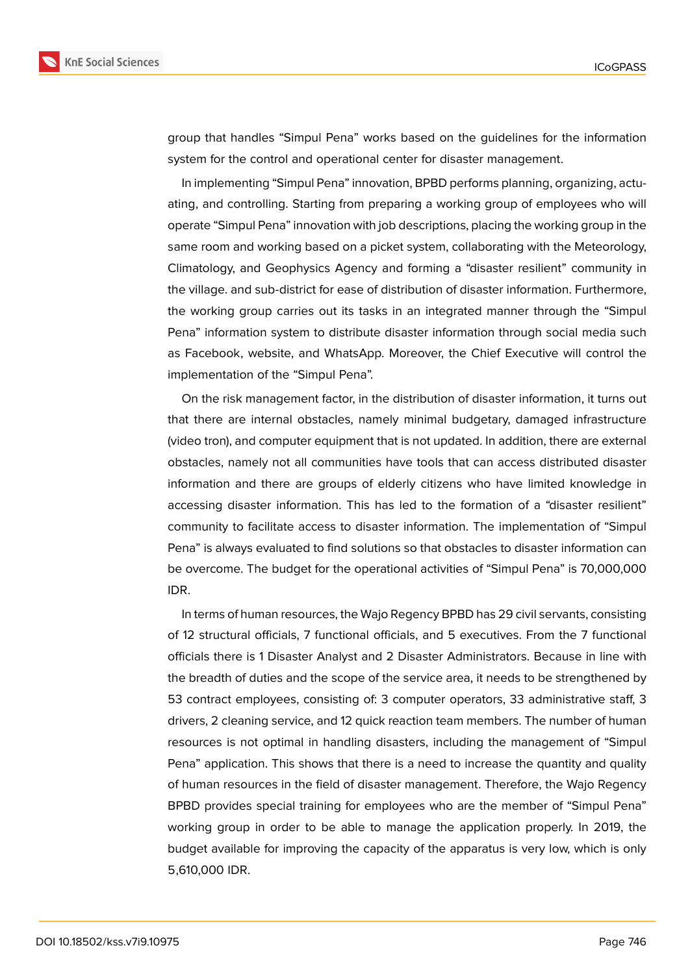

group that handles "Simpul Pena" works based on the guidelines for the information system for the control and operational center for disaster management.

In implementing "Simpul Pena" innovation, BPBD performs planning, organizing, actuating, and controlling. Starting from preparing a working group of employees who will operate "Simpul Pena" innovation with job descriptions, placing the working group in the same room and working based on a picket system, collaborating with the Meteorology, Climatology, and Geophysics Agency and forming a "disaster resilient" community in the village. and sub-district for ease of distribution of disaster information. Furthermore, the working group carries out its tasks in an integrated manner through the "Simpul Pena" information system to distribute disaster information through social media such as Facebook, website, and WhatsApp. Moreover, the Chief Executive will control the implementation of the "Simpul Pena".

On the risk management factor, in the distribution of disaster information, it turns out that there are internal obstacles, namely minimal budgetary, damaged infrastructure (video tron), and computer equipment that is not updated. In addition, there are external obstacles, namely not all communities have tools that can access distributed disaster information and there are groups of elderly citizens who have limited knowledge in accessing disaster information. This has led to the formation of a "disaster resilient" community to facilitate access to disaster information. The implementation of "Simpul Pena" is always evaluated to find solutions so that obstacles to disaster information can be overcome. The budget for the operational activities of "Simpul Pena" is 70,000,000 IDR.

In terms of human resources, the Wajo Regency BPBD has 29 civil servants, consisting of 12 structural officials, 7 functional officials, and 5 executives. From the 7 functional officials there is 1 Disaster Analyst and 2 Disaster Administrators. Because in line with the breadth of duties and the scope of the service area, it needs to be strengthened by 53 contract employees, consisting of: 3 computer operators, 33 administrative staff, 3 drivers, 2 cleaning service, and 12 quick reaction team members. The number of human resources is not optimal in handling disasters, including the management of "Simpul Pena" application. This shows that there is a need to increase the quantity and quality of human resources in the field of disaster management. Therefore, the Wajo Regency BPBD provides special training for employees who are the member of "Simpul Pena" working group in order to be able to manage the application properly. In 2019, the budget available for improving the capacity of the apparatus is very low, which is only 5,610,000 IDR.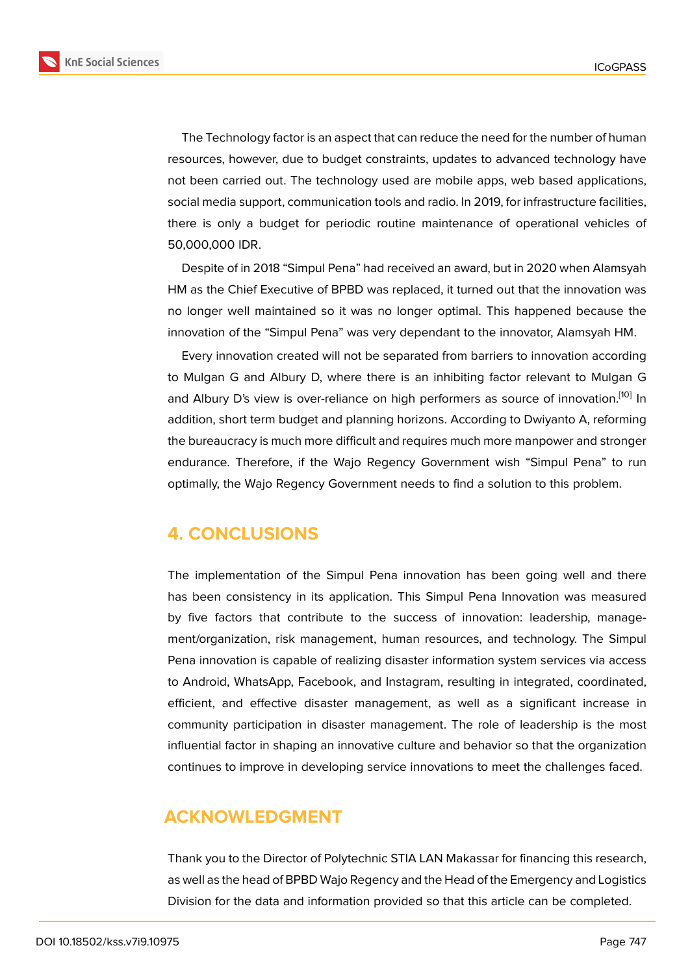The Technology factor is an aspect that can reduce the need for the number of human resources, however, due to budget constraints, updates to advanced technology have not been carried out. The technology used are mobile apps, web based applications, social media support, communication tools and radio. In 2019, for infrastructure facilities, there is only a budget for periodic routine maintenance of operational vehicles of 50,000,000 IDR.

Despite of in 2018 "Simpul Pena" had received an award, but in 2020 when Alamsyah HM as the Chief Executive of BPBD was replaced, it turned out that the innovation was no longer well maintained so it was no longer optimal. This happened because the innovation of the "Simpul Pena" was very dependant to the innovator, Alamsyah HM.

Every innovation created will not be separated from barriers to innovation according to Mulgan G and Albury D, where there is an inhibiting factor relevant to Mulgan G and Albury D's view is over-reliance on high performers as source of innovation.<sup>[10]</sup> In addition, short term budget and planning horizons. According to Dwiyanto A, reforming the bureaucracy is much more difficult and requires much more manpower and stronger endurance. Therefore, if the Wajo Regency Government wish "Simpul Pena" t[o r](#page-5-7)un optimally, the Wajo Regency Government needs to find a solution to this problem.

### **4. CONCLUSIONS**

The implementation of the Simpul Pena innovation has been going well and there has been consistency in its application. This Simpul Pena Innovation was measured by five factors that contribute to the success of innovation: leadership, management/organization, risk management, human resources, and technology. The Simpul Pena innovation is capable of realizing disaster information system services via access to Android, WhatsApp, Facebook, and Instagram, resulting in integrated, coordinated, efficient, and effective disaster management, as well as a significant increase in community participation in disaster management. The role of leadership is the most influential factor in shaping an innovative culture and behavior so that the organization continues to improve in developing service innovations to meet the challenges faced.

### **ACKNOWLEDGMENT**

Thank you to the Director of Polytechnic STIA LAN Makassar for financing this research, as well as the head of BPBD Wajo Regency and the Head of the Emergency and Logistics Division for the data and information provided so that this article can be completed.